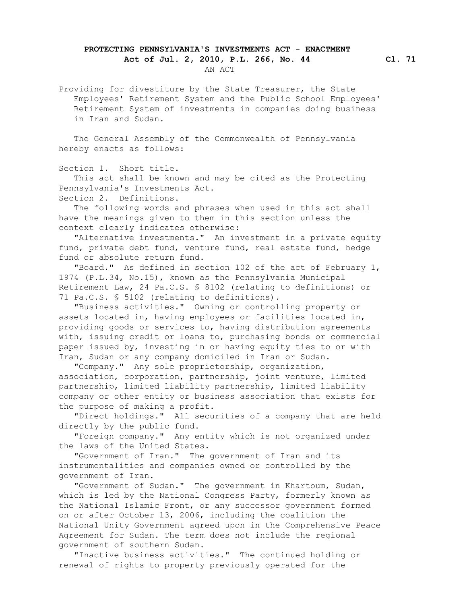## **PROTECTING PENNSYLVANIA'S INVESTMENTS ACT - ENACTMENT**

 **Act of Jul. 2, 2010, P.L. 266, No. 44 Cl. 71** AN ACT

 Providing for divestiture by the State Treasurer, the State Employees' Retirement System and the Public School Employees' Retirement System of investments in companies doing business in Iran and Sudan.

 The General Assembly of the Commonwealth of Pennsylvania hereby enacts as follows:

Section 1. Short title.

 This act shall be known and may be cited as the Protecting Pennsylvania's Investments Act.

Section 2. Definitions.

 The following words and phrases when used in this act shall have the meanings given to them in this section unless the context clearly indicates otherwise:

 "Alternative investments." An investment in a private equity fund, private debt fund, venture fund, real estate fund, hedge fund or absolute return fund.

 "Board." As defined in section 102 of the act of February 1, 1974 (P.L.34, No.15), known as the Pennsylvania Municipal Retirement Law, 24 Pa.C.S. § 8102 (relating to definitions) or 71 Pa.C.S. § 5102 (relating to definitions).

 "Business activities." Owning or controlling property or assets located in, having employees or facilities located in, providing goods or services to, having distribution agreements with, issuing credit or loans to, purchasing bonds or commercial paper issued by, investing in or having equity ties to or with Iran, Sudan or any company domiciled in Iran or Sudan.

 "Company." Any sole proprietorship, organization, association, corporation, partnership, joint venture, limited partnership, limited liability partnership, limited liability company or other entity or business association that exists for the purpose of making a profit.

 "Direct holdings." All securities of a company that are held directly by the public fund.

 "Foreign company." Any entity which is not organized under the laws of the United States.

 "Government of Iran." The government of Iran and its instrumentalities and companies owned or controlled by the government of Iran.

 "Government of Sudan." The government in Khartoum, Sudan, which is led by the National Congress Party, formerly known as the National Islamic Front, or any successor government formed on or after October 13, 2006, including the coalition the National Unity Government agreed upon in the Comprehensive Peace Agreement for Sudan. The term does not include the regional government of southern Sudan.

 "Inactive business activities." The continued holding or renewal of rights to property previously operated for the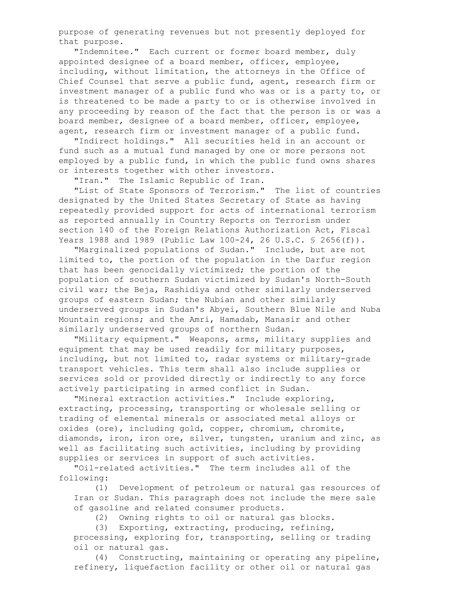purpose of generating revenues but not presently deployed for that purpose.

 "Indemnitee." Each current or former board member, duly appointed designee of a board member, officer, employee, including, without limitation, the attorneys in the Office of Chief Counsel that serve a public fund, agent, research firm or investment manager of a public fund who was or is a party to, or is threatened to be made a party to or is otherwise involved in any proceeding by reason of the fact that the person is or was a board member, designee of a board member, officer, employee, agent, research firm or investment manager of a public fund.

 "Indirect holdings." All securities held in an account or fund such as a mutual fund managed by one or more persons not employed by a public fund, in which the public fund owns shares or interests together with other investors.

"Iran." The Islamic Republic of Iran.

 "List of State Sponsors of Terrorism." The list of countries designated by the United States Secretary of State as having repeatedly provided support for acts of international terrorism as reported annually in Country Reports on Terrorism under section 140 of the Foreign Relations Authorization Act, Fiscal Years 1988 and 1989 (Public Law 100-24, 26 U.S.C. § 2656(f)).

 "Marginalized populations of Sudan." Include, but are not limited to, the portion of the population in the Darfur region that has been genocidally victimized; the portion of the population of southern Sudan victimized by Sudan's North-South civil war; the Beja, Rashidiya and other similarly underserved groups of eastern Sudan; the Nubian and other similarly underserved groups in Sudan's Abyei, Southern Blue Nile and Nuba Mountain regions; and the Amri, Hamadab, Manasir and other similarly underserved groups of northern Sudan.

 "Military equipment." Weapons, arms, military supplies and equipment that may be used readily for military purposes, including, but not limited to, radar systems or military-grade transport vehicles. This term shall also include supplies or services sold or provided directly or indirectly to any force actively participating in armed conflict in Sudan.

 "Mineral extraction activities." Include exploring, extracting, processing, transporting or wholesale selling or trading of elemental minerals or associated metal alloys or oxides (ore), including gold, copper, chromium, chromite, diamonds, iron, iron ore, silver, tungsten, uranium and zinc, as well as facilitating such activities, including by providing supplies or services in support of such activities.

 "Oil-related activities." The term includes all of the following:

 (1) Development of petroleum or natural gas resources of Iran or Sudan. This paragraph does not include the mere sale of gasoline and related consumer products.

(2) Owning rights to oil or natural gas blocks.

 (3) Exporting, extracting, producing, refining, processing, exploring for, transporting, selling or trading oil or natural gas.

 (4) Constructing, maintaining or operating any pipeline, refinery, liquefaction facility or other oil or natural gas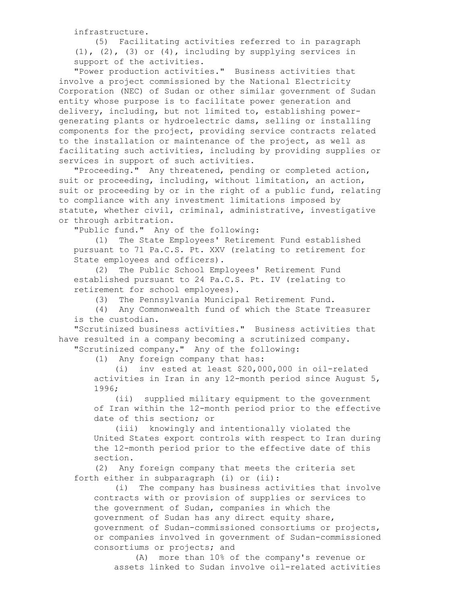infrastructure.

 (5) Facilitating activities referred to in paragraph  $(1)$ ,  $(2)$ ,  $(3)$  or  $(4)$ , including by supplying services in support of the activities.

 "Power production activities." Business activities that involve a project commissioned by the National Electricity Corporation (NEC) of Sudan or other similar government of Sudan entity whose purpose is to facilitate power generation and delivery, including, but not limited to, establishing power generating plants or hydroelectric dams, selling or installing components for the project, providing service contracts related to the installation or maintenance of the project, as well as facilitating such activities, including by providing supplies or services in support of such activities.

 "Proceeding." Any threatened, pending or completed action, suit or proceeding, including, without limitation, an action, suit or proceeding by or in the right of a public fund, relating to compliance with any investment limitations imposed by statute, whether civil, criminal, administrative, investigative or through arbitration.

"Public fund." Any of the following:

 (1) The State Employees' Retirement Fund established pursuant to 71 Pa.C.S. Pt. XXV (relating to retirement for State employees and officers).

 (2) The Public School Employees' Retirement Fund established pursuant to 24 Pa.C.S. Pt. IV (relating to retirement for school employees).

(3) The Pennsylvania Municipal Retirement Fund.

 (4) Any Commonwealth fund of which the State Treasurer is the custodian.

 "Scrutinized business activities." Business activities that have resulted in a company becoming a scrutinized company. "Scrutinized company." Any of the following:

(1) Any foreign company that has:

 (i) inv ested at least \$20,000,000 in oil-related activities in Iran in any 12-month period since August 5, 1996;

 (ii) supplied military equipment to the government of Iran within the 12-month period prior to the effective date of this section; or

 (iii) knowingly and intentionally violated the United States export controls with respect to Iran during the 12-month period prior to the effective date of this section.

 (2) Any foreign company that meets the criteria set forth either in subparagraph (i) or (ii):

 (i) The company has business activities that involve contracts with or provision of supplies or services to the government of Sudan, companies in which the government of Sudan has any direct equity share, government of Sudan-commissioned consortiums or projects, or companies involved in government of Sudan-commissioned consortiums or projects; and

 (A) more than 10% of the company's revenue or assets linked to Sudan involve oil-related activities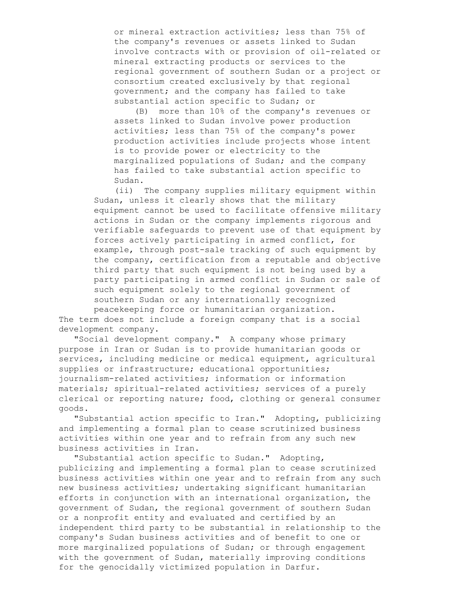or mineral extraction activities; less than 75% of the company's revenues or assets linked to Sudan involve contracts with or provision of oil-related or mineral extracting products or services to the regional government of southern Sudan or a project or consortium created exclusively by that regional government; and the company has failed to take substantial action specific to Sudan; or

 (B) more than 10% of the company's revenues or assets linked to Sudan involve power production activities; less than 75% of the company's power production activities include projects whose intent is to provide power or electricity to the marginalized populations of Sudan; and the company has failed to take substantial action specific to Sudan.

 (ii) The company supplies military equipment within Sudan, unless it clearly shows that the military equipment cannot be used to facilitate offensive military actions in Sudan or the company implements rigorous and verifiable safeguards to prevent use of that equipment by forces actively participating in armed conflict, for example, through post-sale tracking of such equipment by the company, certification from a reputable and objective third party that such equipment is not being used by a party participating in armed conflict in Sudan or sale of such equipment solely to the regional government of southern Sudan or any internationally recognized peacekeeping force or humanitarian organization.

 The term does not include a foreign company that is a social development company.

 "Social development company." A company whose primary purpose in Iran or Sudan is to provide humanitarian goods or services, including medicine or medical equipment, agricultural supplies or infrastructure; educational opportunities; journalism-related activities; information or information materials; spiritual-related activities; services of a purely clerical or reporting nature; food, clothing or general consumer goods.

 "Substantial action specific to Iran." Adopting, publicizing and implementing a formal plan to cease scrutinized business activities within one year and to refrain from any such new business activities in Iran.

 "Substantial action specific to Sudan." Adopting, publicizing and implementing a formal plan to cease scrutinized business activities within one year and to refrain from any such new business activities; undertaking significant humanitarian efforts in conjunction with an international organization, the government of Sudan, the regional government of southern Sudan or a nonprofit entity and evaluated and certified by an independent third party to be substantial in relationship to the company's Sudan business activities and of benefit to one or more marginalized populations of Sudan; or through engagement with the government of Sudan, materially improving conditions for the genocidally victimized population in Darfur.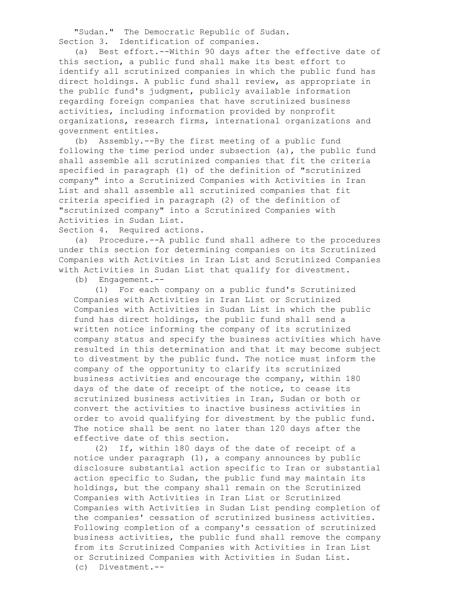"Sudan." The Democratic Republic of Sudan. Section 3. Identification of companies.

 (a) Best effort.--Within 90 days after the effective date of this section, a public fund shall make its best effort to identify all scrutinized companies in which the public fund has direct holdings. A public fund shall review, as appropriate in the public fund's judgment, publicly available information regarding foreign companies that have scrutinized business activities, including information provided by nonprofit organizations, research firms, international organizations and government entities.

 (b) Assembly.--By the first meeting of a public fund following the time period under subsection (a), the public fund shall assemble all scrutinized companies that fit the criteria specified in paragraph (1) of the definition of "scrutinized company" into a Scrutinized Companies with Activities in Iran List and shall assemble all scrutinized companies that fit criteria specified in paragraph (2) of the definition of "scrutinized company" into a Scrutinized Companies with Activities in Sudan List.

Section 4. Required actions.

 (a) Procedure.--A public fund shall adhere to the procedures under this section for determining companies on its Scrutinized Companies with Activities in Iran List and Scrutinized Companies with Activities in Sudan List that qualify for divestment.

(b) Engagement.--

 (1) For each company on a public fund's Scrutinized Companies with Activities in Iran List or Scrutinized Companies with Activities in Sudan List in which the public fund has direct holdings, the public fund shall send a written notice informing the company of its scrutinized company status and specify the business activities which have resulted in this determination and that it may become subject to divestment by the public fund. The notice must inform the company of the opportunity to clarify its scrutinized business activities and encourage the company, within 180 days of the date of receipt of the notice, to cease its scrutinized business activities in Iran, Sudan or both or convert the activities to inactive business activities in order to avoid qualifying for divestment by the public fund. The notice shall be sent no later than 120 days after the effective date of this section.

 (2) If, within 180 days of the date of receipt of a notice under paragraph  $(1)$ , a company announces by public disclosure substantial action specific to Iran or substantial action specific to Sudan, the public fund may maintain its holdings, but the company shall remain on the Scrutinized Companies with Activities in Iran List or Scrutinized Companies with Activities in Sudan List pending completion of the companies' cessation of scrutinized business activities. Following completion of a company's cessation of scrutinized business activities, the public fund shall remove the company from its Scrutinized Companies with Activities in Iran List or Scrutinized Companies with Activities in Sudan List. (c) Divestment.--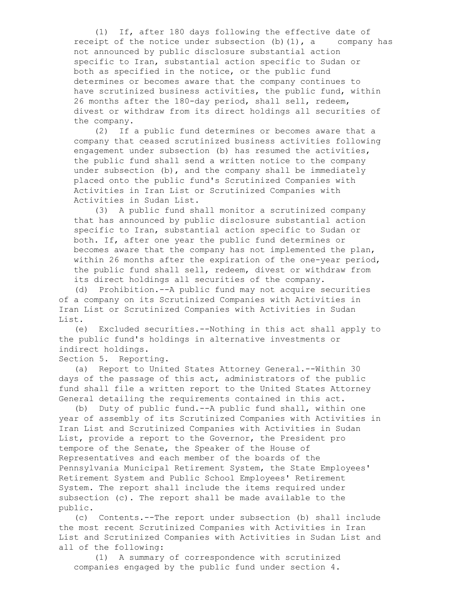(1) If, after 180 days following the effective date of receipt of the notice under subsection  $(b)$  (1), a company has not announced by public disclosure substantial action specific to Iran, substantial action specific to Sudan or both as specified in the notice, or the public fund determines or becomes aware that the company continues to have scrutinized business activities, the public fund, within 26 months after the 180-day period, shall sell, redeem, divest or withdraw from its direct holdings all securities of the company.

 (2) If a public fund determines or becomes aware that a company that ceased scrutinized business activities following engagement under subsection (b) has resumed the activities, the public fund shall send a written notice to the company under subsection (b), and the company shall be immediately placed onto the public fund's Scrutinized Companies with Activities in Iran List or Scrutinized Companies with Activities in Sudan List.

 (3) A public fund shall monitor a scrutinized company that has announced by public disclosure substantial action specific to Iran, substantial action specific to Sudan or both. If, after one year the public fund determines or becomes aware that the company has not implemented the plan, within 26 months after the expiration of the one-year period, the public fund shall sell, redeem, divest or withdraw from its direct holdings all securities of the company.

 (d) Prohibition.--A public fund may not acquire securities of a company on its Scrutinized Companies with Activities in Iran List or Scrutinized Companies with Activities in Sudan List.

 (e) Excluded securities.--Nothing in this act shall apply to the public fund's holdings in alternative investments or indirect holdings.

Section 5. Reporting.

 (a) Report to United States Attorney General.--Within 30 days of the passage of this act, administrators of the public fund shall file a written report to the United States Attorney General detailing the requirements contained in this act.

 (b) Duty of public fund.--A public fund shall, within one year of assembly of its Scrutinized Companies with Activities in Iran List and Scrutinized Companies with Activities in Sudan List, provide a report to the Governor, the President pro tempore of the Senate, the Speaker of the House of Representatives and each member of the boards of the Pennsylvania Municipal Retirement System, the State Employees' Retirement System and Public School Employees' Retirement System. The report shall include the items required under subsection (c). The report shall be made available to the public.

 (c) Contents.--The report under subsection (b) shall include the most recent Scrutinized Companies with Activities in Iran List and Scrutinized Companies with Activities in Sudan List and all of the following:

 (1) A summary of correspondence with scrutinized companies engaged by the public fund under section 4.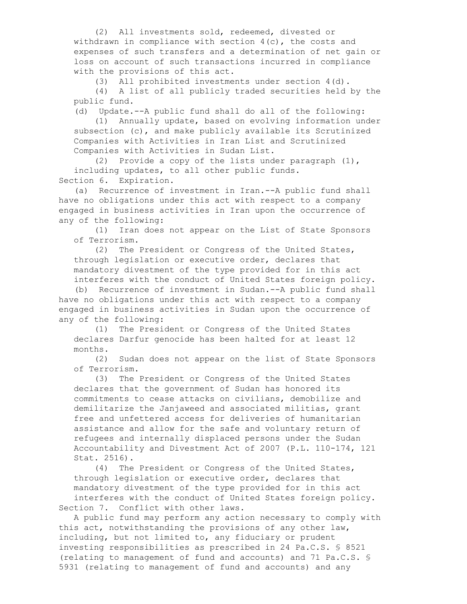(2) All investments sold, redeemed, divested or withdrawn in compliance with section  $4(c)$ , the costs and expenses of such transfers and a determination of net gain or loss on account of such transactions incurred in compliance with the provisions of this act.

(3) All prohibited investments under section 4(d).

 (4) A list of all publicly traded securities held by the public fund.

(d) Update.--A public fund shall do all of the following:

 (1) Annually update, based on evolving information under subsection (c), and make publicly available its Scrutinized Companies with Activities in Iran List and Scrutinized Companies with Activities in Sudan List.

(2) Provide a copy of the lists under paragraph  $(1)$ , including updates, to all other public funds. Section 6. Expiration.

 (a) Recurrence of investment in Iran.--A public fund shall have no obligations under this act with respect to a company engaged in business activities in Iran upon the occurrence of any of the following:

 (1) Iran does not appear on the List of State Sponsors of Terrorism.

 (2) The President or Congress of the United States, through legislation or executive order, declares that mandatory divestment of the type provided for in this act interferes with the conduct of United States foreign policy.

 (b) Recurrence of investment in Sudan.--A public fund shall have no obligations under this act with respect to a company engaged in business activities in Sudan upon the occurrence of any of the following:

 (1) The President or Congress of the United States declares Darfur genocide has been halted for at least 12 months.

 (2) Sudan does not appear on the list of State Sponsors of Terrorism.

 (3) The President or Congress of the United States declares that the government of Sudan has honored its commitments to cease attacks on civilians, demobilize and demilitarize the Janjaweed and associated militias, grant free and unfettered access for deliveries of humanitarian assistance and allow for the safe and voluntary return of refugees and internally displaced persons under the Sudan Accountability and Divestment Act of 2007 (P.L. 110-174, 121 Stat. 2516).

 (4) The President or Congress of the United States, through legislation or executive order, declares that mandatory divestment of the type provided for in this act interferes with the conduct of United States foreign policy. Section 7. Conflict with other laws.

 A public fund may perform any action necessary to comply with this act, notwithstanding the provisions of any other law, including, but not limited to, any fiduciary or prudent investing responsibilities as prescribed in 24 Pa.C.S. § 8521 (relating to management of fund and accounts) and 71 Pa.C.S. § 5931 (relating to management of fund and accounts) and any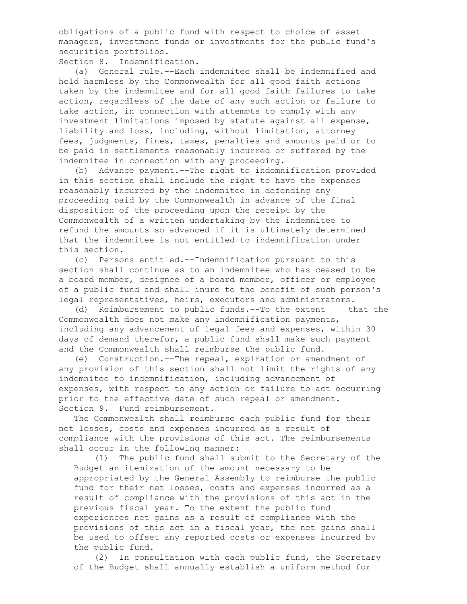obligations of a public fund with respect to choice of asset managers, investment funds or investments for the public fund's securities portfolios.

Section 8. Indemnification.

 (a) General rule.--Each indemnitee shall be indemnified and held harmless by the Commonwealth for all good faith actions taken by the indemnitee and for all good faith failures to take action, regardless of the date of any such action or failure to take action, in connection with attempts to comply with any investment limitations imposed by statute against all expense, liability and loss, including, without limitation, attorney fees, judgments, fines, taxes, penalties and amounts paid or to be paid in settlements reasonably incurred or suffered by the indemnitee in connection with any proceeding.

 (b) Advance payment.--The right to indemnification provided in this section shall include the right to have the expenses reasonably incurred by the indemnitee in defending any proceeding paid by the Commonwealth in advance of the final disposition of the proceeding upon the receipt by the Commonwealth of a written undertaking by the indemnitee to refund the amounts so advanced if it is ultimately determined that the indemnitee is not entitled to indemnification under this section.

 (c) Persons entitled.--Indemnification pursuant to this section shall continue as to an indemnitee who has ceased to be a board member, designee of a board member, officer or employee of a public fund and shall inure to the benefit of such person's legal representatives, heirs, executors and administrators.

 (d) Reimbursement to public funds.--To the extent that the Commonwealth does not make any indemnification payments, including any advancement of legal fees and expenses, within 30 days of demand therefor, a public fund shall make such payment and the Commonwealth shall reimburse the public fund.

 (e) Construction.--The repeal, expiration or amendment of any provision of this section shall not limit the rights of any indemnitee to indemnification, including advancement of expenses, with respect to any action or failure to act occurring prior to the effective date of such repeal or amendment. Section 9. Fund reimbursement.

 The Commonwealth shall reimburse each public fund for their net losses, costs and expenses incurred as a result of compliance with the provisions of this act. The reimbursements shall occur in the following manner:

 (1) The public fund shall submit to the Secretary of the Budget an itemization of the amount necessary to be appropriated by the General Assembly to reimburse the public fund for their net losses, costs and expenses incurred as a result of compliance with the provisions of this act in the previous fiscal year. To the extent the public fund experiences net gains as a result of compliance with the provisions of this act in a fiscal year, the net gains shall be used to offset any reported costs or expenses incurred by the public fund.

 (2) In consultation with each public fund, the Secretary of the Budget shall annually establish a uniform method for